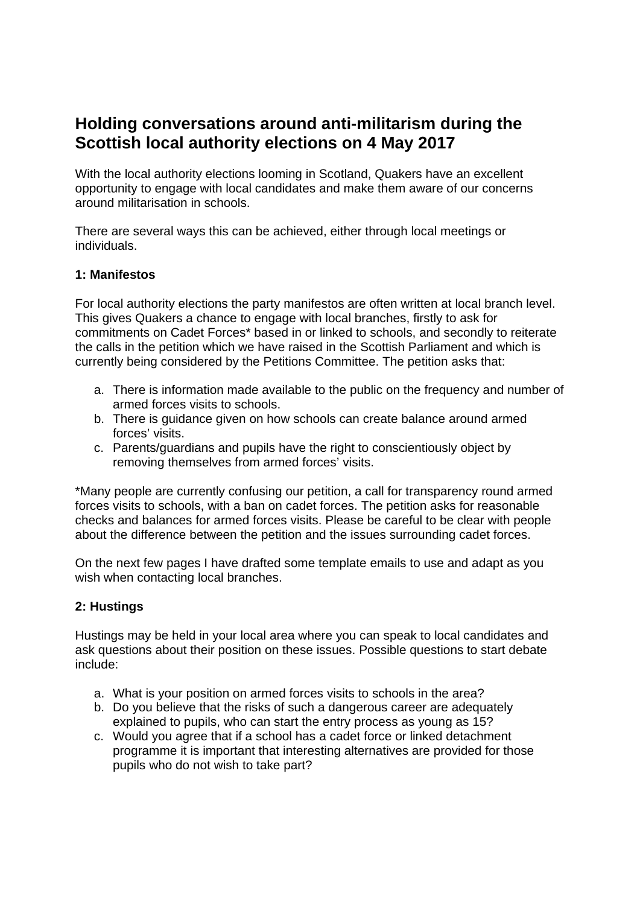# **Holding conversations around anti-militarism during the Scottish local authority elections on 4 May 2017**

With the local authority elections looming in Scotland, Quakers have an excellent opportunity to engage with local candidates and make them aware of our concerns around militarisation in schools.

There are several ways this can be achieved, either through local meetings or individuals.

### **1: Manifestos**

For local authority elections the party manifestos are often written at local branch level. This gives Quakers a chance to engage with local branches, firstly to ask for commitments on Cadet Forces\* based in or linked to schools, and secondly to reiterate the calls in the petition which we have raised in the Scottish Parliament and which is currently being considered by the Petitions Committee. The petition asks that:

- a. There is information made available to the public on the frequency and number of armed forces visits to schools.
- b. There is guidance given on how schools can create balance around armed forces' visits.
- c. Parents/guardians and pupils have the right to conscientiously object by removing themselves from armed forces' visits.

\*Many people are currently confusing our petition, a call for transparency round armed forces visits to schools, with a ban on cadet forces. The petition asks for reasonable checks and balances for armed forces visits. Please be careful to be clear with people about the difference between the petition and the issues surrounding cadet forces.

On the next few pages I have drafted some template emails to use and adapt as you wish when contacting local branches.

## **2: Hustings**

Hustings may be held in your local area where you can speak to local candidates and ask questions about their position on these issues. Possible questions to start debate include:

- a. What is your position on armed forces visits to schools in the area?
- b. Do you believe that the risks of such a dangerous career are adequately explained to pupils, who can start the entry process as young as 15?
- c. Would you agree that if a school has a cadet force or linked detachment programme it is important that interesting alternatives are provided for those pupils who do not wish to take part?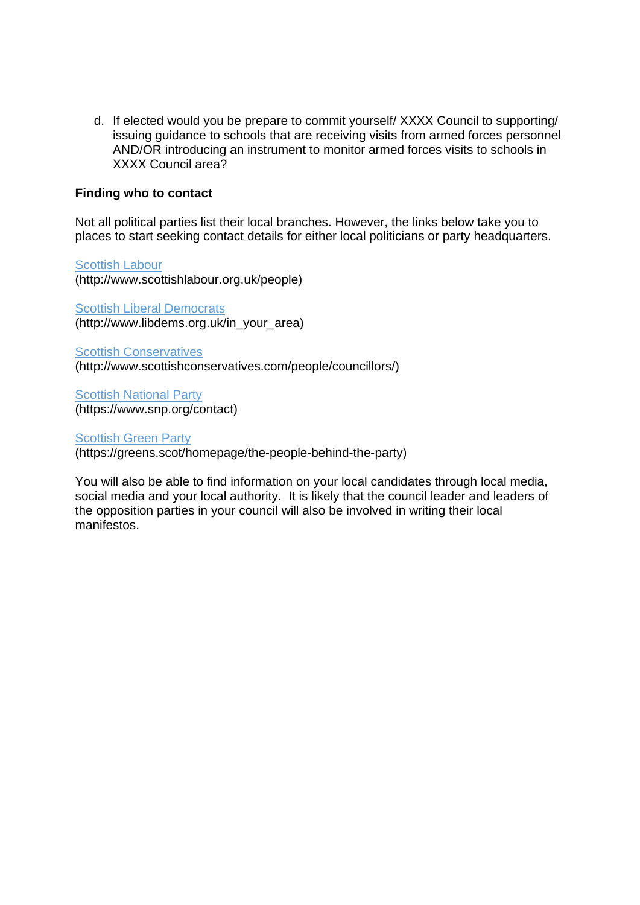d. If elected would you be prepare to commit yourself/ XXXX Council to supporting/ issuing guidance to schools that are receiving visits from armed forces personnel AND/OR introducing an instrument to monitor armed forces visits to schools in XXXX Council area?

#### **Finding who to contact**

Not all political parties list their local branches. However, the links below take you to places to start seeking contact details for either local politicians or party headquarters.

Scottish Labour (http://www.scottishlabour.org.uk/people)

**Scottish Liberal Democrats** (http://www.libdems.org.uk/in\_your\_area)

Scottish Conservatives (http://www.scottishconservatives.com/people/councillors/)

Scottish National Party (https://www.snp.org/contact)

**Scottish Green Party** (https://greens.scot/homepage/the-people-behind-the-party)

You will also be able to find information on your local candidates through local media, social media and your local authority. It is likely that the council leader and leaders of the opposition parties in your council will also be involved in writing their local manifestos.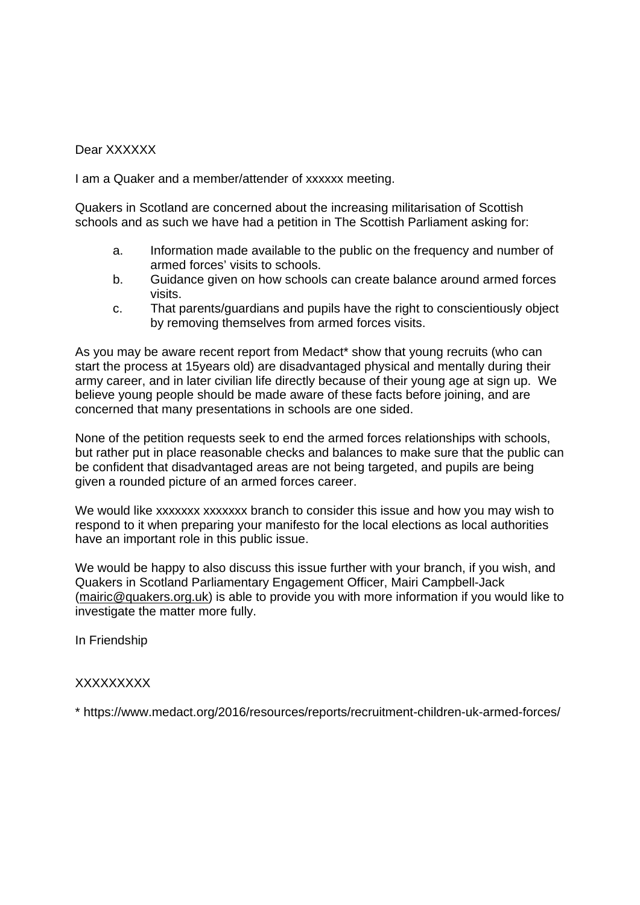#### Dear XXXXXX

I am a Quaker and a member/attender of xxxxxx meeting.

Quakers in Scotland are concerned about the increasing militarisation of Scottish schools and as such we have had a petition in The Scottish Parliament asking for:

- a. Information made available to the public on the frequency and number of armed forces' visits to schools.
- b. Guidance given on how schools can create balance around armed forces visits.
- c. That parents/guardians and pupils have the right to conscientiously object by removing themselves from armed forces visits.

As you may be aware recent report from Medact\* show that young recruits (who can start the process at 15years old) are disadvantaged physical and mentally during their army career, and in later civilian life directly because of their young age at sign up. We believe young people should be made aware of these facts before joining, and are concerned that many presentations in schools are one sided.

None of the petition requests seek to end the armed forces relationships with schools, but rather put in place reasonable checks and balances to make sure that the public can be confident that disadvantaged areas are not being targeted, and pupils are being given a rounded picture of an armed forces career.

We would like xxxxxxx xxxxxxx branch to consider this issue and how you may wish to respond to it when preparing your manifesto for the local elections as local authorities have an important role in this public issue.

We would be happy to also discuss this issue further with your branch, if you wish, and Quakers in Scotland Parliamentary Engagement Officer, Mairi Campbell-Jack (mairic@quakers.org.uk) is able to provide you with more information if you would like to investigate the matter more fully.

In Friendship

#### **XXXXXXXX**

\* https://www.medact.org/2016/resources/reports/recruitment-children-uk-armed-forces/